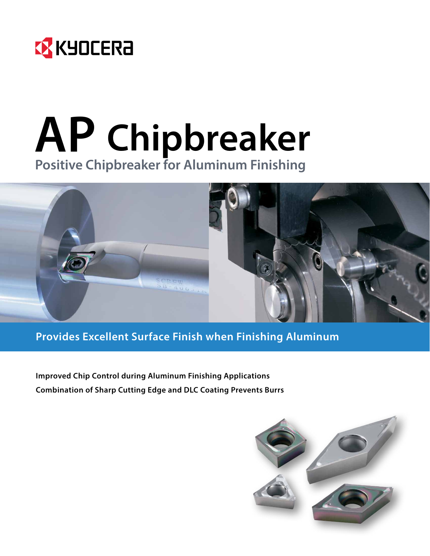

## **AP Chipbreaker Positive Chipbreaker for Aluminum Finishing**



**Provides Excellent Surface Finish when Finishing Aluminum**

**Improved Chip Control during Aluminum Finishing Applications Combination of Sharp Cutting Edge and DLC Coating Prevents Burrs**

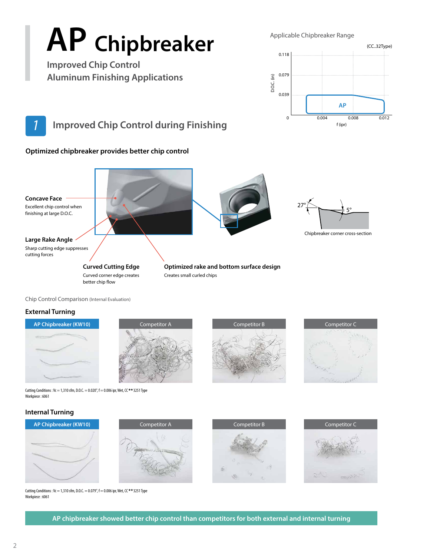# **AP Chipbreaker**

**Improved Chip Control Aluminum Finishing Applications** Applicable Chipbreaker Range



## *1* **Improved Chip Control during Finishing**

#### **Optimized chipbreaker provides better chip control**



Chip Control Comparison (Internal Evaluation)

#### **External Turning**









Cutting Conditions : Vc = 1,310 sfm, D.O.C. =  $0.020$ ", f =  $0.006$  ipr, Wet, CC \*\* 3251 Type Workpiece : 6061

#### **Internal Turning**







Competitor C

Cutting Conditions : Vc = 1,310 sfm, D.O.C. = 0.079",  $f = 0.006$  ipr, Wet, CC \*\* 3251 Type Workpiece : 6061

**AP chipbreaker showed better chip control than competitors for both external and internal turning**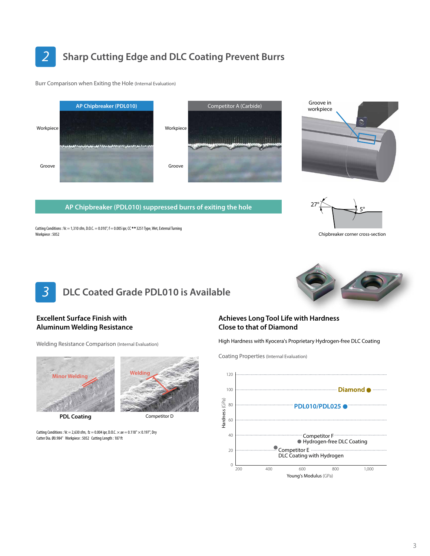*2* **Sharp Cutting Edge and DLC Coating Prevent Burrs**

Burr Comparison when Exiting the Hole (Internal Evaluation)

Cutting Conditions : Vc = 1,310 sfm, D.O.C. = 0.010",  $f = 0.005$  ipr, CC \*\* 3251 Type, Wet, External Turning



**AP Chipbreaker (PDL010) suppressed burrs of exiting the hole**

Groove in workpiece



Chipbreaker corner cross-section



**Welding**

#### **Excellent Surface Finish with Aluminum Welding Resistance**

Workpiece : 5052

Welding Resistance Comparison (Internal Evaluation)



**PDL Coating**

Competitor D

Cutting Conditions : Vc = 2,630 sfm,  $fz = 0.004$  ipr, D.O.C.  $\times$  ae = 0.118"  $\times$  0.197", Dry Cutter Dia. Ø0.984" Workpiece : 5052 Cutting Length : 187 ft

#### **Achieves Long Tool Life with Hardness Close to that of Diamond**

High Hardness with Kyocera's Proprietary Hydrogen-free DLC Coating

Coating Properties (Internal Evaluation)